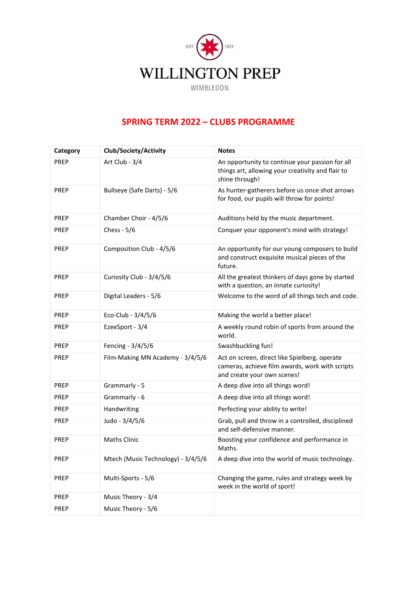

## **SPRING TERM 2022 – CLUBS PROGRAMME**

| Category    | Club/Society/Activity              | <b>Notes</b>                                                                                                                    |
|-------------|------------------------------------|---------------------------------------------------------------------------------------------------------------------------------|
| PREP        | Art Club - 3/4                     | An opportunity to continue your passion for all<br>things art, allowing your creativity and flair to<br>shine through!          |
| <b>PREP</b> | Bullseye (Safe Darts) - 5/6        | As hunter-gatherers before us once shot arrows<br>for food, our pupils will throw for points!                                   |
| PREP        | Chamber Choir - 4/5/6              | Auditions held by the music department.                                                                                         |
| <b>PREP</b> | Chess - 5/6                        | Conquer your opponent's mind with strategy!                                                                                     |
| PREP        | Composition Club - 4/5/6           | An opportunity for our young composers to build<br>and construct exquisite musical pieces of the<br>future.                     |
| PREP        | Curiosity Club - 3/4/5/6           | All the greatest thinkers of days gone by started<br>with a question, an innate curiosity!                                      |
| <b>PREP</b> | Digital Leaders - 5/6              | Welcome to the word of all things tech and code.                                                                                |
| PREP        | Eco-Club - 3/4/5/6                 | Making the world a better place!                                                                                                |
| PREP        | EzeeSport - 3/4                    | A weekly round robin of sports from around the<br>world.                                                                        |
| <b>PREP</b> | Fencing - 3/4/5/6                  | Swashbuckling fun!                                                                                                              |
| PREP        | Film-Making MN Academy - 3/4/5/6   | Act on screen, direct like Spielberg, operate<br>cameras, achieve film awards, work with scripts<br>and create your own scenes! |
| <b>PREP</b> | Grammarly - 5                      | A deep dive into all things word!                                                                                               |
| <b>PREP</b> | Grammarly - 6                      | A deep dive into all things word!                                                                                               |
| <b>PREP</b> | Handwriting                        | Perfecting your ability to write!                                                                                               |
| <b>PREP</b> | Judo - 3/4/5/6                     | Grab, pull and throw in a controlled, disciplined<br>and self-defensive manner.                                                 |
| <b>PREP</b> | <b>Maths Clinic</b>                | Boosting your confidence and performance in<br>Maths.                                                                           |
| PREP        | Mtech (Music Technology) - 3/4/5/6 | A deep dive into the world of music technology.                                                                                 |
| PREP        | Multi-Sports - 5/6                 | Changing the game, rules and strategy week by<br>week in the world of sport!                                                    |
| <b>PREP</b> | Music Theory - 3/4                 |                                                                                                                                 |
| <b>PREP</b> | Music Theory - 5/6                 |                                                                                                                                 |